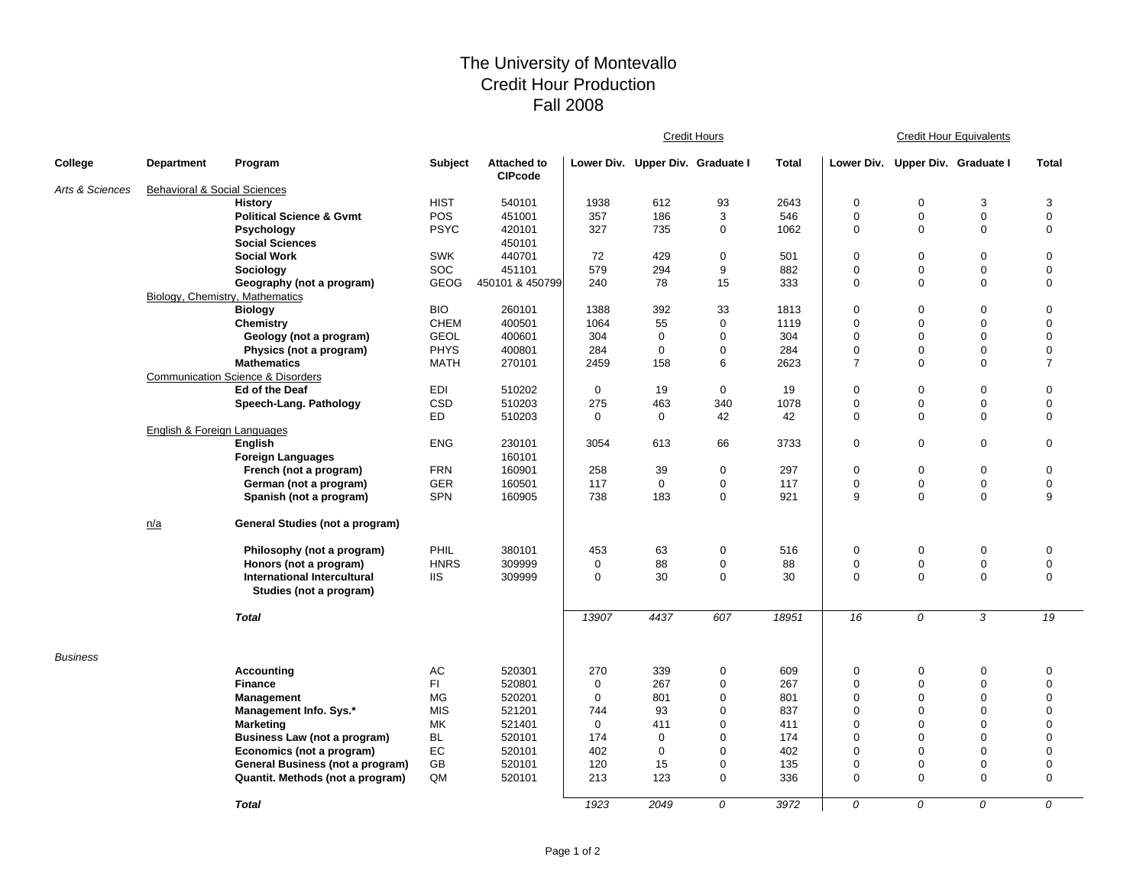## The University of Montevallo Credit Hour Production Fall 2008

|                 |                                         |                                                        |             |                                      |                    | <b>Credit Hours</b>              |             |            |                  |                                  | <b>Credit Hour Equivalents</b> |                            |  |  |
|-----------------|-----------------------------------------|--------------------------------------------------------|-------------|--------------------------------------|--------------------|----------------------------------|-------------|------------|------------------|----------------------------------|--------------------------------|----------------------------|--|--|
| College         | <b>Department</b>                       | Program                                                | Subject     | <b>Attached to</b><br><b>CIPcode</b> |                    | Lower Div. Upper Div. Graduate I |             | Total      |                  | Lower Div. Upper Div. Graduate I |                                | <b>Total</b>               |  |  |
| Arts & Sciences | <b>Behavioral &amp; Social Sciences</b> |                                                        |             |                                      |                    |                                  |             |            |                  |                                  |                                |                            |  |  |
|                 |                                         | <b>History</b>                                         | <b>HIST</b> | 540101                               | 1938               | 612                              | 93          | 2643       | $\mathbf 0$      | $\mathbf 0$                      | 3                              | 3                          |  |  |
|                 |                                         | <b>Political Science &amp; Gymt</b>                    | <b>POS</b>  | 451001                               | 357                | 186                              | 3           | 546        | $\mathbf 0$      | $\mathbf 0$                      | $\mathbf 0$                    | $\mathbf 0$                |  |  |
|                 |                                         | Psychology                                             | <b>PSYC</b> | 420101                               | 327                | 735                              | 0           | 1062       | $\mathbf 0$      | $\mathbf 0$                      | $\mathbf 0$                    | $\boldsymbol{0}$           |  |  |
|                 |                                         | <b>Social Sciences</b>                                 |             | 450101                               |                    |                                  |             |            |                  |                                  |                                |                            |  |  |
|                 |                                         | <b>Social Work</b>                                     | <b>SWK</b>  | 440701                               | 72                 | 429                              | $\mathbf 0$ | 501        | $\mathbf 0$      | $\mathbf 0$                      | $\mathbf 0$                    | $\boldsymbol{0}$           |  |  |
|                 |                                         | Sociology                                              | <b>SOC</b>  | 451101                               | 579                | 294                              | 9           | 882        | $\mathbf 0$      | $\mathbf 0$                      | 0                              | 0                          |  |  |
|                 |                                         | Geography (not a program)                              | <b>GEOG</b> | 450101 & 450799                      | 240                | 78                               | 15          | 333        | $\mathbf 0$      | $\mathbf 0$                      | $\mathbf 0$                    | $\mathbf 0$                |  |  |
|                 | Biology, Chemistry, Mathematics         |                                                        |             |                                      |                    |                                  |             |            |                  |                                  |                                |                            |  |  |
|                 |                                         | <b>Biology</b>                                         | <b>BIO</b>  | 260101                               | 1388               | 392                              | 33          | 1813       | $\mathbf 0$      | $\mathbf 0$                      | $\mathbf 0$                    | $\mathbf 0$                |  |  |
|                 |                                         | <b>Chemistry</b>                                       | <b>CHEM</b> | 400501                               | 1064               | 55                               | 0           | 1119       | $\mathbf 0$      | $\mathbf 0$                      | $\mathbf 0$                    | $\mathbf 0$                |  |  |
|                 |                                         | Geology (not a program)                                | <b>GEOL</b> | 400601                               | 304                | 0                                | 0           | 304        | $\mathbf 0$      | $\mathbf 0$                      | $\mathbf 0$                    | $\mathbf 0$                |  |  |
|                 |                                         | Physics (not a program)                                | <b>PHYS</b> | 400801                               | 284                | $\mathbf 0$                      | 0           | 284        | $\mathbf 0$      | $\mathbf 0$                      | $\mathbf 0$                    | $\Omega$                   |  |  |
|                 |                                         | <b>Mathematics</b>                                     | <b>MATH</b> | 270101                               | 2459               | 158                              | 6           | 2623       | $\overline{7}$   | $\Omega$                         | $\mathbf 0$                    | $\overline{7}$             |  |  |
|                 |                                         | <b>Communication Science &amp; Disorders</b>           |             |                                      |                    |                                  |             |            |                  |                                  |                                |                            |  |  |
|                 |                                         | Ed of the Deaf                                         | EDI         | 510202                               | $\mathbf 0$        | 19                               | $\mathbf 0$ | 19         | $\mathbf 0$      | $\mathbf 0$                      | $\mathbf 0$                    | $\mathbf 0$                |  |  |
|                 |                                         | Speech-Lang. Pathology                                 | CSD         | 510203                               | 275                | 463                              | 340         | 1078       | $\mathbf 0$      | $\mathbf 0$                      | $\mathbf 0$                    | $\mathbf 0$                |  |  |
|                 |                                         |                                                        | ED          | 510203                               | $\Omega$           | 0                                | 42          | 42         | $\mathbf 0$      | $\Omega$                         | $\mathbf 0$                    | $\mathbf 0$                |  |  |
|                 | English & Foreign Languages             |                                                        |             |                                      |                    |                                  |             |            |                  |                                  |                                |                            |  |  |
|                 |                                         | English                                                | <b>ENG</b>  | 230101                               | 3054               | 613                              | 66          | 3733       | $\boldsymbol{0}$ | $\mathbf 0$                      | $\boldsymbol{0}$               | $\boldsymbol{0}$           |  |  |
|                 |                                         | <b>Foreign Languages</b>                               |             | 160101                               |                    |                                  |             |            |                  |                                  |                                |                            |  |  |
|                 |                                         | French (not a program)                                 | <b>FRN</b>  | 160901                               | 258                | 39                               | 0           | 297        | $\mathbf 0$      | 0                                | $\mathbf 0$                    | $\mathbf 0$                |  |  |
|                 |                                         | German (not a program)                                 | <b>GER</b>  | 160501                               | 117                | $\mathbf 0$                      | 0           | 117        | $\mathbf 0$      | $\mathbf 0$                      | 0                              | $\pmb{0}$                  |  |  |
|                 |                                         | Spanish (not a program)                                | <b>SPN</b>  | 160905                               | 738                | 183                              | 0           | 921        | 9                | $\mathbf 0$                      | $\Omega$                       | 9                          |  |  |
|                 | n/a                                     | General Studies (not a program)                        |             |                                      |                    |                                  |             |            |                  |                                  |                                |                            |  |  |
|                 |                                         | Philosophy (not a program)                             | PHIL        | 380101                               | 453                | 63                               | 0           | 516        | $\mathbf 0$      | $\mathbf 0$                      | $\mathbf 0$                    | $\mathbf 0$                |  |  |
|                 |                                         | Honors (not a program)                                 | <b>HNRS</b> | 309999                               | 0                  | 88                               | 0           | 88         | $\mathbf 0$      | $\mathbf 0$                      | 0                              | $\pmb{0}$                  |  |  |
|                 |                                         | International Intercultural<br>Studies (not a program) | <b>IIS</b>  | 309999                               | $\mathbf 0$        | 30                               | 0           | 30         | $\mathbf 0$      | $\mathbf 0$                      | $\mathbf 0$                    | 0                          |  |  |
|                 |                                         | <b>Total</b>                                           |             |                                      | 13907              | 4437                             | 607         | 18951      | 16               | 0                                | 3                              | 19                         |  |  |
| <b>Business</b> |                                         |                                                        |             |                                      |                    |                                  |             |            |                  |                                  |                                |                            |  |  |
|                 |                                         | <b>Accounting</b>                                      | AC<br>FI.   | 520301<br>520801                     | 270<br>$\mathbf 0$ | 339<br>267                       | 0<br>0      | 609<br>267 | 0<br>$\mathbf 0$ | 0<br>$\mathbf 0$                 | 0<br>$\mathbf 0$               | $\mathbf 0$<br>$\mathbf 0$ |  |  |
|                 |                                         | <b>Finance</b>                                         | <b>MG</b>   |                                      | $\mathbf 0$        | 801                              | $\mathbf 0$ | 801        | $\mathbf 0$      | $\mathbf 0$                      | $\Omega$                       | $\mathbf 0$                |  |  |
|                 |                                         | <b>Management</b>                                      | <b>MIS</b>  | 520201<br>521201                     | 744                | 93                               | 0           | 837        | $\mathbf 0$      | $\mathbf 0$                      | $\Omega$                       | $\Omega$                   |  |  |
|                 |                                         | Management Info. Sys.*                                 | MK          | 521401                               | $\mathbf 0$        | 411                              | 0           | 411        | $\mathbf 0$      | 0                                | 0                              | $\mathbf 0$                |  |  |
|                 |                                         | <b>Marketing</b>                                       | BL          |                                      | 174                | $\mathbf 0$                      | 0           | 174        | $\mathbf 0$      | $\mathbf 0$                      | $\Omega$                       | $\overline{0}$             |  |  |
|                 |                                         | Business Law (not a program)                           | EC          | 520101                               | 402                | $\mathbf 0$                      | 0           | 402        | $\mathbf 0$      | $\mathbf 0$                      | $\Omega$                       | $\overline{0}$             |  |  |
|                 |                                         | Economics (not a program)                              | GB          | 520101<br>520101                     | 120                | 15                               | 0           | 135        | $\mathbf 0$      | $\mathbf 0$                      | $\Omega$                       | $\mathbf 0$                |  |  |
|                 |                                         | General Business (not a program)                       | QM          |                                      | 213                | 123                              | 0           | 336        | $\mathbf 0$      | $\mathbf 0$                      | $\mathbf 0$                    | 0                          |  |  |
|                 |                                         | Quantit. Methods (not a program)                       |             | 520101                               |                    |                                  |             |            |                  |                                  |                                |                            |  |  |
|                 |                                         | <b>Total</b>                                           |             |                                      | 1923               | 2049                             | 0           | 3972       | $\Omega$         | $\Omega$                         | $\Omega$                       | $\Omega$                   |  |  |